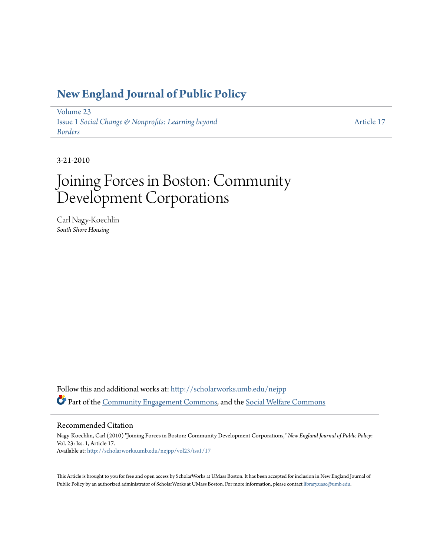### **[New England Journal of Public Policy](http://scholarworks.umb.edu/nejpp?utm_source=scholarworks.umb.edu%2Fnejpp%2Fvol23%2Fiss1%2F17&utm_medium=PDF&utm_campaign=PDFCoverPages)**

[Volume 23](http://scholarworks.umb.edu/nejpp/vol23?utm_source=scholarworks.umb.edu%2Fnejpp%2Fvol23%2Fiss1%2F17&utm_medium=PDF&utm_campaign=PDFCoverPages) Issue 1 *[Social Change & Nonprofits: Learning beyond](http://scholarworks.umb.edu/nejpp/vol23/iss1?utm_source=scholarworks.umb.edu%2Fnejpp%2Fvol23%2Fiss1%2F17&utm_medium=PDF&utm_campaign=PDFCoverPages) [Borders](http://scholarworks.umb.edu/nejpp/vol23/iss1?utm_source=scholarworks.umb.edu%2Fnejpp%2Fvol23%2Fiss1%2F17&utm_medium=PDF&utm_campaign=PDFCoverPages)*

[Article 17](http://scholarworks.umb.edu/nejpp/vol23/iss1/17?utm_source=scholarworks.umb.edu%2Fnejpp%2Fvol23%2Fiss1%2F17&utm_medium=PDF&utm_campaign=PDFCoverPages)

3-21-2010

# Joining Forces in Boston: Community Development Corporations

Carl Nagy-Koechlin *South Shore Housing*

Follow this and additional works at: [http://scholarworks.umb.edu/nejpp](http://scholarworks.umb.edu/nejpp?utm_source=scholarworks.umb.edu%2Fnejpp%2Fvol23%2Fiss1%2F17&utm_medium=PDF&utm_campaign=PDFCoverPages) Part of the [Community Engagement Commons](http://network.bepress.com/hgg/discipline/1028?utm_source=scholarworks.umb.edu%2Fnejpp%2Fvol23%2Fiss1%2F17&utm_medium=PDF&utm_campaign=PDFCoverPages), and the [Social Welfare Commons](http://network.bepress.com/hgg/discipline/401?utm_source=scholarworks.umb.edu%2Fnejpp%2Fvol23%2Fiss1%2F17&utm_medium=PDF&utm_campaign=PDFCoverPages)

#### Recommended Citation

Nagy-Koechlin, Carl (2010) "Joining Forces in Boston: Community Development Corporations," *New England Journal of Public Policy*: Vol. 23: Iss. 1, Article 17. Available at: [http://scholarworks.umb.edu/nejpp/vol23/iss1/17](http://scholarworks.umb.edu/nejpp/vol23/iss1/17?utm_source=scholarworks.umb.edu%2Fnejpp%2Fvol23%2Fiss1%2F17&utm_medium=PDF&utm_campaign=PDFCoverPages)

This Article is brought to you for free and open access by ScholarWorks at UMass Boston. It has been accepted for inclusion in New England Journal of Public Policy by an authorized administrator of ScholarWorks at UMass Boston. For more information, please contact [library.uasc@umb.edu](mailto:library.uasc@umb.edu).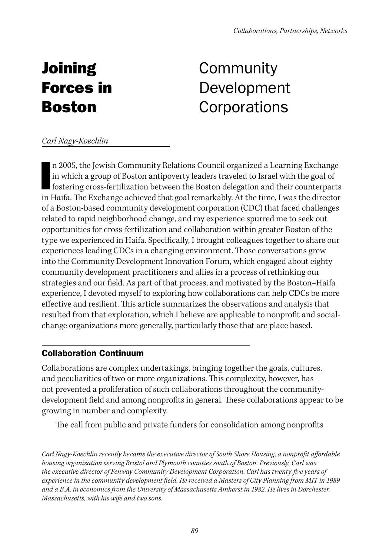# **Joining** Forces in Boston

# **Community** Development **Corporations**

#### *Carl Nagy-Koechlin*

In 1 n 2005, the Jewish Community Relations Council organized a Learning Exchange in which a group of Boston antipoverty leaders traveled to Israel with the goal of fostering cross-fertilization between the Boston delegation and their counterparts in Haifa. The Exchange achieved that goal remarkably. At the time, I was the director of a Boston-based community development corporation (CDC) that faced challenges related to rapid neighborhood change, and my experience spurred me to seek out opportunities for cross-fertilization and collaboration within greater Boston of the type we experienced in Haifa. Specifically, I brought colleagues together to share our experiences leading CDCs in a changing environment. Those conversations grew into the Community Development Innovation Forum, which engaged about eighty community development practitioners and allies in a process of rethinking our strategies and our field. As part of that process, and motivated by the Boston–Haifa experience, I devoted myself to exploring how collaborations can help CDCs be more effective and resilient. This article summarizes the observations and analysis that resulted from that exploration, which I believe are applicable to nonprofit and socialchange organizations more generally, particularly those that are place based.

#### Collaboration Continuum

Collaborations are complex undertakings, bringing together the goals, cultures, and peculiarities of two or more organizations. This complexity, however, has not prevented a proliferation of such collaborations throughout the communitydevelopment field and among nonprofits in general. These collaborations appear to be growing in number and complexity.

The call from public and private funders for consolidation among nonprofits

*Carl Nagy-Koechlin recently became the executive director of South Shore Housing, a nonprofit affordable housing organization serving Bristol and Plymouth counties south of Boston. Previously, Carl was the executive director of Fenway Community Development Corporation. Carl has twenty-five years of experience in the community development field. He received a Masters of City Planning from MIT in 1989 and a B.A. in economics from the University of Massachusetts Amherst in 1982. He lives in Dorchester, Massachusetts, with his wife and two sons.*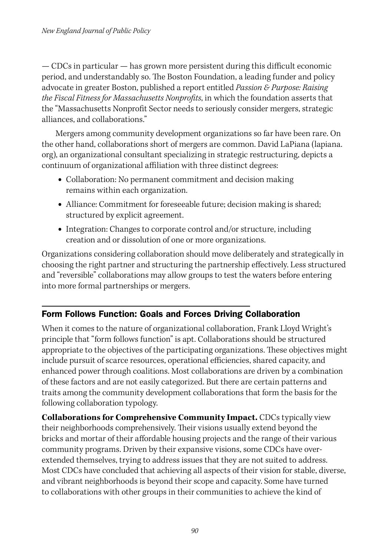— CDCs in particular — has grown more persistent during this difficult economic period, and understandably so. The Boston Foundation, a leading funder and policy advocate in greater Boston, published a report entitled *Passion & Purpose: Raising the Fiscal Fitness for Massachusetts Nonprofits*, in which the foundation asserts that the "Massachusetts Nonprofit Sector needs to seriously consider mergers, strategic alliances, and collaborations."

Mergers among community development organizations so far have been rare. On the other hand, collaborations short of mergers are common. David LaPiana (lapiana. org), an organizational consultant specializing in strategic restructuring, depicts a continuum of organizational affiliation with three distinct degrees:

- **•** Collaboration: No permanent commitment and decision making remains within each organization.
- **•** Alliance: Commitment for foreseeable future; decision making is shared; structured by explicit agreement.
- Integration: Changes to corporate control and/or structure, including creation and or dissolution of one or more organizations.

Organizations considering collaboration should move deliberately and strategically in choosing the right partner and structuring the partnership effectively. Less structured and "reversible" collaborations may allow groups to test the waters before entering into more formal partnerships or mergers.

### Form Follows Function: Goals and Forces Driving Collaboration

When it comes to the nature of organizational collaboration, Frank Lloyd Wright's principle that "form follows function" is apt. Collaborations should be structured appropriate to the objectives of the participating organizations. These objectives might include pursuit of scarce resources, operational efficiencies, shared capacity, and enhanced power through coalitions. Most collaborations are driven by a combination of these factors and are not easily categorized. But there are certain patterns and traits among the community development collaborations that form the basis for the following collaboration typology.

**Collaborations for Comprehensive Community Impact.** CDCs typically view their neighborhoods comprehensively. Their visions usually extend beyond the bricks and mortar of their affordable housing projects and the range of their various community programs. Driven by their expansive visions, some CDCs have overextended themselves, trying to address issues that they are not suited to address. Most CDCs have concluded that achieving all aspects of their vision for stable, diverse, and vibrant neighborhoods is beyond their scope and capacity. Some have turned to collaborations with other groups in their communities to achieve the kind of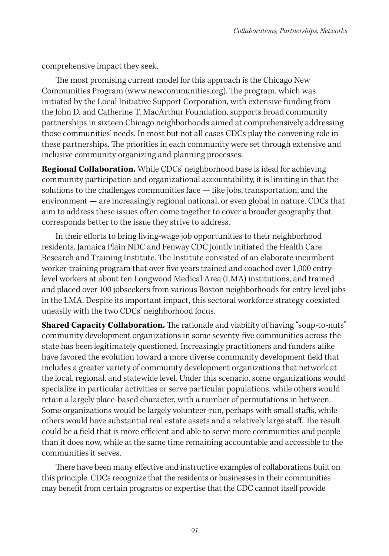comprehensive impact they seek.

The most promising current model for this approach is the Chicago New Communities Program (www.newcommunities.org). The program, which was initiated by the Local Initiative Support Corporation, with extensive funding from the John D. and Catherine T. MacArthur Foundation, supports broad community partnerships in sixteen Chicago neighborhoods aimed at comprehensively addressing those communities' needs. In most but not all cases CDCs play the convening role in these partnerships. The priorities in each community were set through extensive and inclusive community organizing and planning processes.

**Regional Collaboration.** While CDCs' neighborhood base is ideal for achieving community participation and organizational accountability, it is limiting in that the solutions to the challenges communities face — like jobs, transportation, and the environment — are increasingly regional national, or even global in nature. CDCs that aim to address these issues often come together to cover a broader geography that corresponds better to the issue they strive to address.

In their efforts to bring living-wage job opportunities to their neighborhood residents, Jamaica Plain NDC and Fenway CDC jointly initiated the Health Care Research and Training Institute. The Institute consisted of an elaborate incumbent worker-training program that over five years trained and coached over 1,000 entrylevel workers at about ten Longwood Medical Area (LMA) institutions, and trained and placed over 100 jobseekers from various Boston neighborhoods for entry-level jobs in the LMA. Despite its important impact, this sectoral workforce strategy coexisted uneasily with the two CDCs' neighborhood focus.

**Shared Capacity Collaboration.** The rationale and viability of having "soup-to-nuts" community development organizations in some seventy-five communities across the state has been legitimately questioned. Increasingly practitioners and funders alike have favored the evolution toward a more diverse community development field that includes a greater variety of community development organizations that network at the local, regional, and statewide level. Under this scenario, some organizations would specialize in particular activities or serve particular populations, while others would retain a largely place-based character, with a number of permutations in between. Some organizations would be largely volunteer-run, perhaps with small staffs, while others would have substantial real estate assets and a relatively large staff. The result could be a field that is more efficient and able to serve more communities and people than it does now, while at the same time remaining accountable and accessible to the communities it serves.

There have been many effective and instructive examples of collaborations built on this principle. CDCs recognize that the residents or businesses in their communities may benefit from certain programs or expertise that the CDC cannot itself provide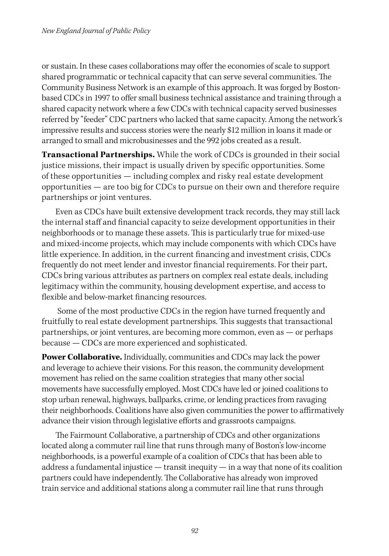or sustain. In these cases collaborations may offer the economies of scale to support shared programmatic or technical capacity that can serve several communities. The Community Business Network is an example of this approach. It was forged by Bostonbased CDCs in 1997 to offer small business technical assistance and training through a shared capacity network where a few CDCs with technical capacity served businesses referred by "feeder" CDC partners who lacked that same capacity. Among the network's impressive results and success stories were the nearly \$12 million in loans it made or arranged to small and microbusinesses and the 992 jobs created as a result.

**Transactional Partnerships.** While the work of CDCs is grounded in their social justice missions, their impact is usually driven by specific opportunities. Some of these opportunities — including complex and risky real estate development opportunities — are too big for CDCs to pursue on their own and therefore require partnerships or joint ventures.

Even as CDCs have built extensive development track records, they may still lack the internal staff and financial capacity to seize development opportunities in their neighborhoods or to manage these assets. This is particularly true for mixed-use and mixed-income projects, which may include components with which CDCs have little experience. In addition, in the current financing and investment crisis, CDCs frequently do not meet lender and investor financial requirements. For their part, CDCs bring various attributes as partners on complex real estate deals, including legitimacy within the community, housing development expertise, and access to flexible and below-market financing resources.

 Some of the most productive CDCs in the region have turned frequently and fruitfully to real estate development partnerships. This suggests that transactional partnerships, or joint ventures, are becoming more common, even as — or perhaps because — CDCs are more experienced and sophisticated.

**Power Collaborative.** Individually, communities and CDCs may lack the power and leverage to achieve their visions. For this reason, the community development movement has relied on the same coalition strategies that many other social movements have successfully employed. Most CDCs have led or joined coalitions to stop urban renewal, highways, ballparks, crime, or lending practices from ravaging their neighborhoods. Coalitions have also given communities the power to affirmatively advance their vision through legislative efforts and grassroots campaigns.

The Fairmount Collaborative, a partnership of CDCs and other organizations located along a commuter rail line that runs through many of Boston's low-income neighborhoods, is a powerful example of a coalition of CDCs that has been able to address a fundamental injustice  $-$  transit inequity  $-$  in a way that none of its coalition partners could have independently. The Collaborative has already won improved train service and additional stations along a commuter rail line that runs through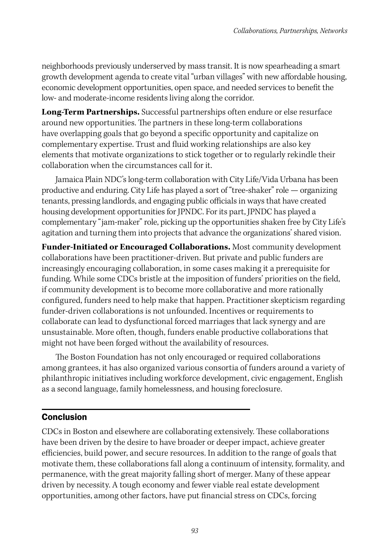neighborhoods previously underserved by mass transit. It is now spearheading a smart growth development agenda to create vital "urban villages" with new affordable housing, economic development opportunities, open space, and needed services to benefit the low- and moderate-income residents living along the corridor.

**Long-Term Partnerships.** Successful partnerships often endure or else resurface around new opportunities. The partners in these long-term collaborations have overlapping goals that go beyond a specific opportunity and capitalize on complementary expertise. Trust and fluid working relationships are also key elements that motivate organizations to stick together or to regularly rekindle their collaboration when the circumstances call for it.

Jamaica Plain NDC's long-term collaboration with City Life/Vida Urbana has been productive and enduring. City Life has played a sort of "tree-shaker" role — organizing tenants, pressing landlords, and engaging public officials in ways that have created housing development opportunities for JPNDC. For its part, JPNDC has played a complementary "jam-maker" role, picking up the opportunities shaken free by City Life's agitation and turning them into projects that advance the organizations' shared vision.

**Funder-Initiated or Encouraged Collaborations.** Most community development collaborations have been practitioner-driven. But private and public funders are increasingly encouraging collaboration, in some cases making it a prerequisite for funding. While some CDCs bristle at the imposition of funders' priorities on the field, if community development is to become more collaborative and more rationally configured, funders need to help make that happen. Practitioner skepticism regarding funder-driven collaborations is not unfounded. Incentives or requirements to collaborate can lead to dysfunctional forced marriages that lack synergy and are unsustainable. More often, though, funders enable productive collaborations that might not have been forged without the availability of resources.

The Boston Foundation has not only encouraged or required collaborations among grantees, it has also organized various consortia of funders around a variety of philanthropic initiatives including workforce development, civic engagement, English as a second language, family homelessness, and housing foreclosure.

### Conclusion

CDCs in Boston and elsewhere are collaborating extensively. These collaborations have been driven by the desire to have broader or deeper impact, achieve greater efficiencies, build power, and secure resources. In addition to the range of goals that motivate them, these collaborations fall along a continuum of intensity, formality, and permanence, with the great majority falling short of merger. Many of these appear driven by necessity. A tough economy and fewer viable real estate development opportunities, among other factors, have put financial stress on CDCs, forcing